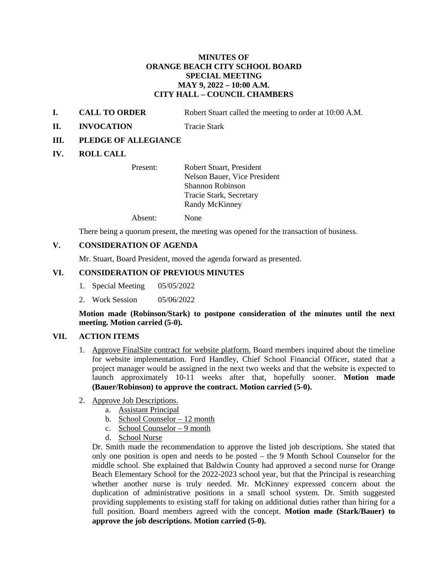## **MINUTES OF ORANGE BEACH CITY SCHOOL BOARD SPECIAL MEETING MAY 9, 2022 – 10:00 A.M. CITY HALL – COUNCIL CHAMBERS**

- **I. CALL TO ORDER** Robert Stuart called the meeting to order at 10:00 A.M.
- **II. INVOCATION** Tracie Stark

### **III. PLEDGE OF ALLEGIANCE**

### **IV. ROLL CALL**

Present: Robert Stuart, President Nelson Bauer, Vice President Shannon Robinson Tracie Stark, Secretary Randy McKinney

Absent: None

There being a quorum present, the meeting was opened for the transaction of business.

## **V. CONSIDERATION OF AGENDA**

Mr. Stuart, Board President, moved the agenda forward as presented.

#### **VI. CONSIDERATION OF PREVIOUS MINUTES**

- 1. Special Meeting 05/05/2022
- 2. Work Session 05/06/2022

**Motion made (Robinson/Stark) to postpone consideration of the minutes until the next meeting. Motion carried (5-0).**

#### **VII. ACTION ITEMS**

- 1. Approve FinalSite contract for website platform. Board members inquired about the timeline for website implementation. Ford Handley, Chief School Financial Officer, stated that a project manager would be assigned in the next two weeks and that the website is expected to launch approximately 10-11 weeks after that, hopefully sooner. **Motion made (Bauer/Robinson) to approve the contract. Motion carried (5-0).**
- 2. Approve Job Descriptions.
	- a. Assistant Principal
	- b. School Counselor 12 month
	- c. School Counselor 9 month
	- d. School Nurse

Dr. Smith made the recommendation to approve the listed job descriptions. She stated that only one position is open and needs to be posted – the 9 Month School Counselor for the middle school. She explained that Baldwin County had approved a second nurse for Orange Beach Elementary School for the 2022-2023 school year, but that the Principal is researching whether another nurse is truly needed. Mr. McKinney expressed concern about the duplication of administrative positions in a small school system. Dr. Smith suggested providing supplements to existing staff for taking on additional duties rather than hiring for a full position. Board members agreed with the concept. **Motion made (Stark/Bauer) to approve the job descriptions. Motion carried (5-0).**